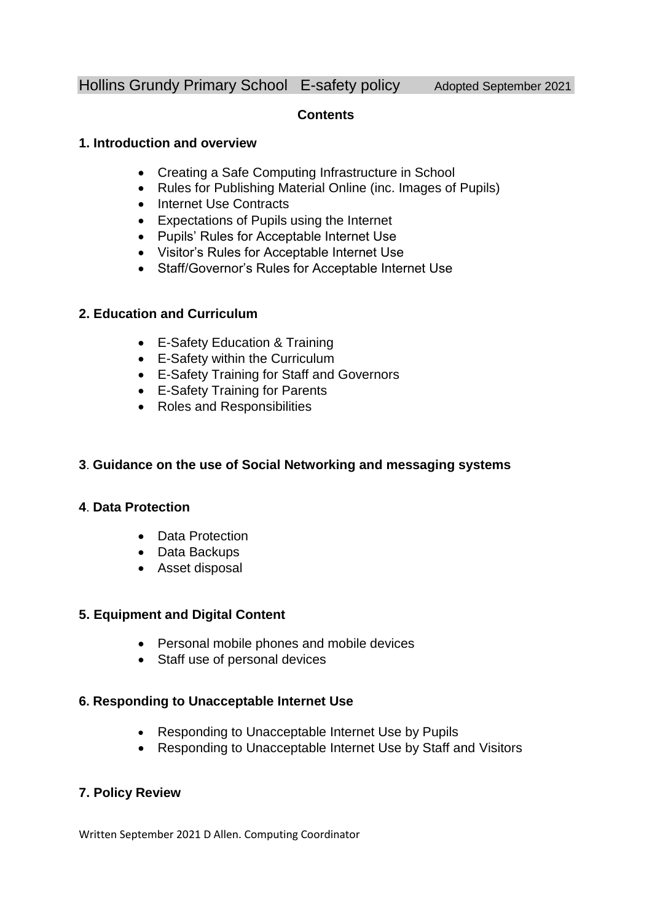# Hollins Grundy Primary School E-safety policy Adopted September 2021

### **Contents**

### **1. Introduction and overview**

- Creating a Safe Computing Infrastructure in School
- Rules for Publishing Material Online (inc. Images of Pupils)
- Internet Use Contracts
- Expectations of Pupils using the Internet
- Pupils' Rules for Acceptable Internet Use
- Visitor's Rules for Acceptable Internet Use
- Staff/Governor's Rules for Acceptable Internet Use

### **2. Education and Curriculum**

- E-Safety Education & Training
- E-Safety within the Curriculum
- E-Safety Training for Staff and Governors
- E-Safety Training for Parents
- Roles and Responsibilities

### **3**. **Guidance on the use of Social Networking and messaging systems**

### **4**. **Data Protection**

- Data Protection
- Data Backups
- Asset disposal

### **5. Equipment and Digital Content**

- Personal mobile phones and mobile devices
- Staff use of personal devices

### **6. Responding to Unacceptable Internet Use**

- Responding to Unacceptable Internet Use by Pupils
- Responding to Unacceptable Internet Use by Staff and Visitors

# **7. Policy Review**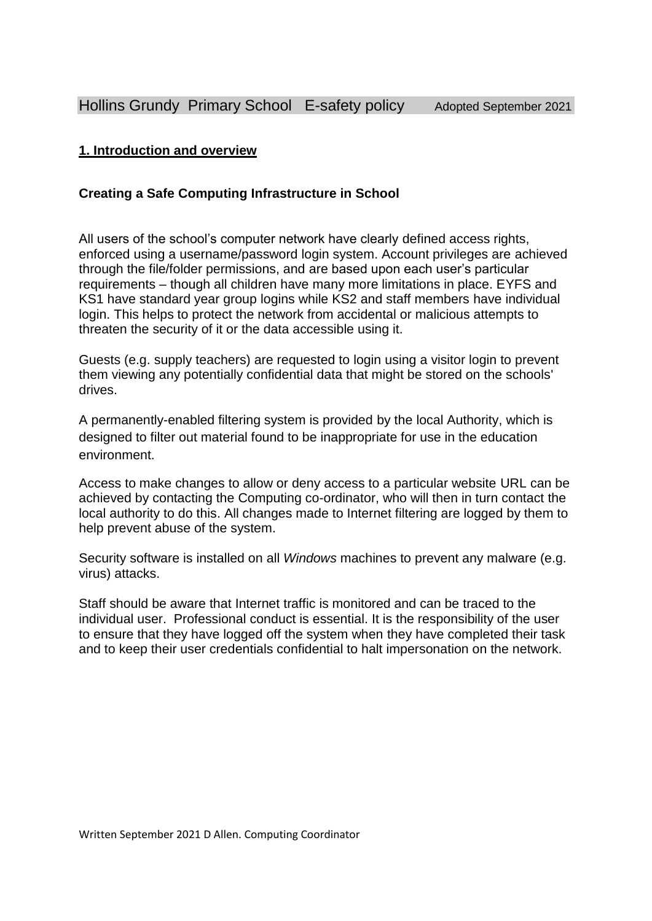# **1. Introduction and overview**

# **Creating a Safe Computing Infrastructure in School**

All users of the school's computer network have clearly defined access rights, enforced using a username/password login system. Account privileges are achieved through the file/folder permissions, and are based upon each user's particular requirements – though all children have many more limitations in place. EYFS and KS1 have standard year group logins while KS2 and staff members have individual login. This helps to protect the network from accidental or malicious attempts to threaten the security of it or the data accessible using it.

Guests (e.g. supply teachers) are requested to login using a visitor login to prevent them viewing any potentially confidential data that might be stored on the schools' drives.

A permanently-enabled filtering system is provided by the local Authority, which is designed to filter out material found to be inappropriate for use in the education environment.

Access to make changes to allow or deny access to a particular website URL can be achieved by contacting the Computing co-ordinator, who will then in turn contact the local authority to do this. All changes made to Internet filtering are logged by them to help prevent abuse of the system.

Security software is installed on all *Windows* machines to prevent any malware (e.g. virus) attacks.

Staff should be aware that Internet traffic is monitored and can be traced to the individual user. Professional conduct is essential. It is the responsibility of the user to ensure that they have logged off the system when they have completed their task and to keep their user credentials confidential to halt impersonation on the network.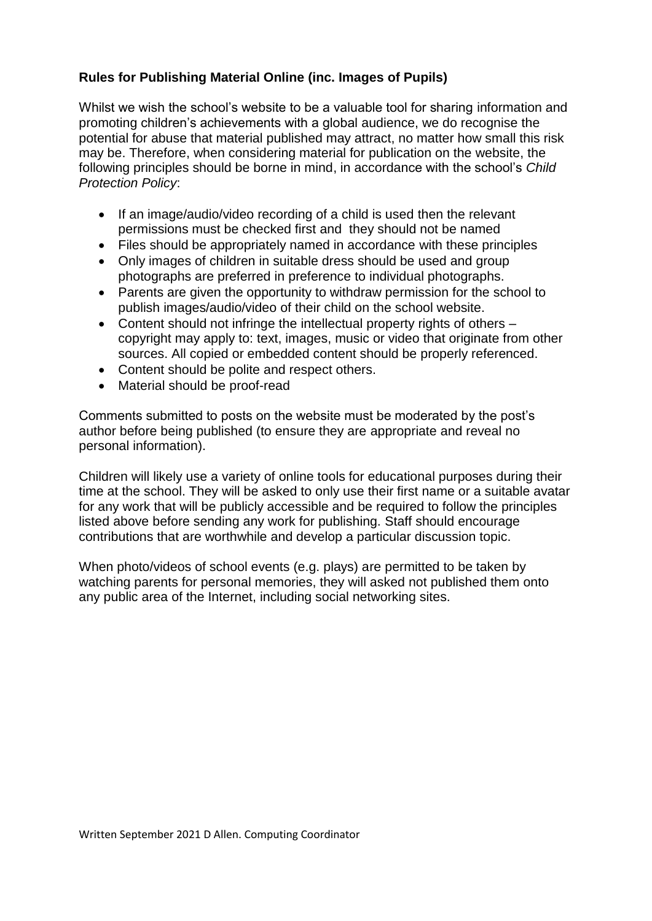# **Rules for Publishing Material Online (inc. Images of Pupils)**

Whilst we wish the school's website to be a valuable tool for sharing information and promoting children's achievements with a global audience, we do recognise the potential for abuse that material published may attract, no matter how small this risk may be. Therefore, when considering material for publication on the website, the following principles should be borne in mind, in accordance with the school's *Child Protection Policy*:

- If an image/audio/video recording of a child is used then the relevant permissions must be checked first and they should not be named
- Files should be appropriately named in accordance with these principles
- Only images of children in suitable dress should be used and group photographs are preferred in preference to individual photographs.
- Parents are given the opportunity to withdraw permission for the school to publish images/audio/video of their child on the school website.
- Content should not infringe the intellectual property rights of others copyright may apply to: text, images, music or video that originate from other sources. All copied or embedded content should be properly referenced.
- Content should be polite and respect others.
- Material should be proof-read

Comments submitted to posts on the website must be moderated by the post's author before being published (to ensure they are appropriate and reveal no personal information).

Children will likely use a variety of online tools for educational purposes during their time at the school. They will be asked to only use their first name or a suitable avatar for any work that will be publicly accessible and be required to follow the principles listed above before sending any work for publishing. Staff should encourage contributions that are worthwhile and develop a particular discussion topic.

When photo/videos of school events (e.g. plays) are permitted to be taken by watching parents for personal memories, they will asked not published them onto any public area of the Internet, including social networking sites.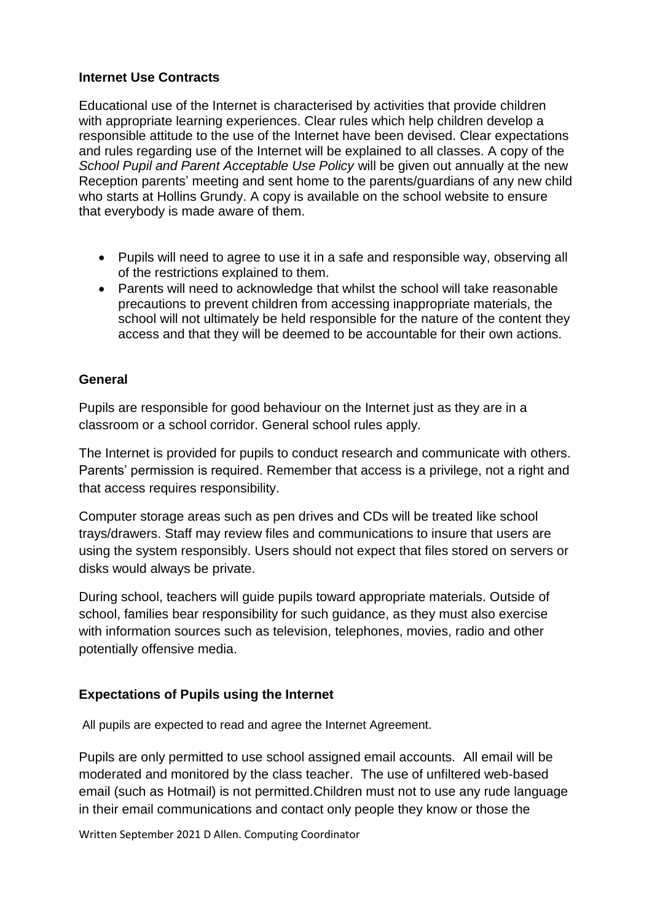## **Internet Use Contracts**

Educational use of the Internet is characterised by activities that provide children with appropriate learning experiences. Clear rules which help children develop a responsible attitude to the use of the Internet have been devised. Clear expectations and rules regarding use of the Internet will be explained to all classes. A copy of the *School Pupil and Parent Acceptable Use Policy* will be given out annually at the new Reception parents' meeting and sent home to the parents/guardians of any new child who starts at Hollins Grundy. A copy is available on the school website to ensure that everybody is made aware of them.

- Pupils will need to agree to use it in a safe and responsible way, observing all of the restrictions explained to them.
- Parents will need to acknowledge that whilst the school will take reasonable precautions to prevent children from accessing inappropriate materials, the school will not ultimately be held responsible for the nature of the content they access and that they will be deemed to be accountable for their own actions.

### **General**

Pupils are responsible for good behaviour on the Internet just as they are in a classroom or a school corridor. General school rules apply.

The Internet is provided for pupils to conduct research and communicate with others. Parents' permission is required. Remember that access is a privilege, not a right and that access requires responsibility.

Computer storage areas such as pen drives and CDs will be treated like school trays/drawers. Staff may review files and communications to insure that users are using the system responsibly. Users should not expect that files stored on servers or disks would always be private.

During school, teachers will guide pupils toward appropriate materials. Outside of school, families bear responsibility for such guidance, as they must also exercise with information sources such as television, telephones, movies, radio and other potentially offensive media.

# **Expectations of Pupils using the Internet**

All pupils are expected to read and agree the Internet Agreement.

Pupils are only permitted to use school assigned email accounts. All email will be moderated and monitored by the class teacher. The use of unfiltered web-based email (such as Hotmail) is not permitted.Children must not to use any rude language in their email communications and contact only people they know or those the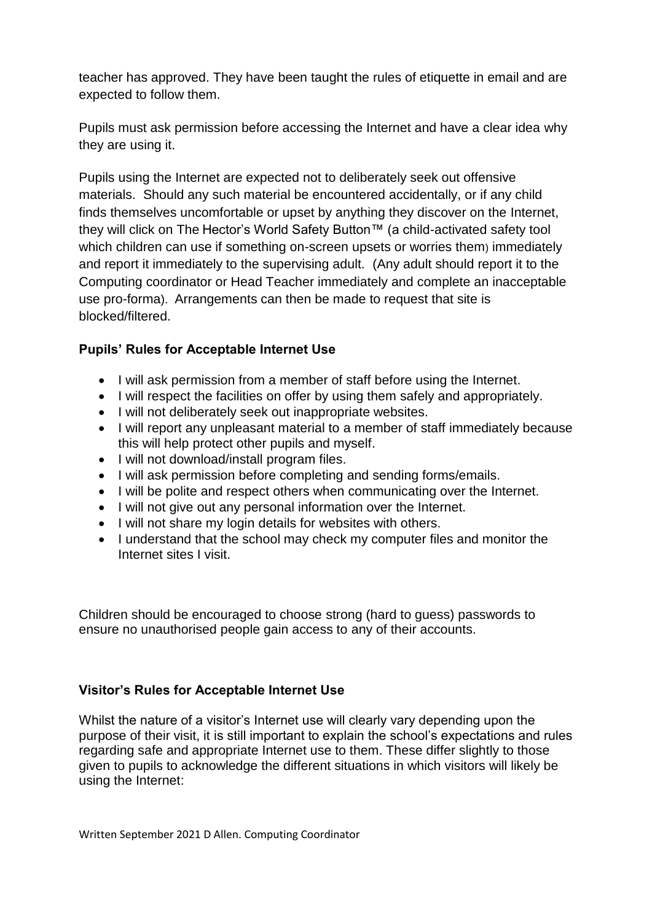teacher has approved. They have been taught the rules of etiquette in email and are expected to follow them.

Pupils must ask permission before accessing the Internet and have a clear idea why they are using it.

Pupils using the Internet are expected not to deliberately seek out offensive materials. Should any such material be encountered accidentally, or if any child finds themselves uncomfortable or upset by anything they discover on the Internet, they will click on The Hector's World Safety Button™ (a child-activated safety tool which children can use if something on-screen upsets or worries them) immediately and report it immediately to the supervising adult. (Any adult should report it to the Computing coordinator or Head Teacher immediately and complete an inacceptable use pro-forma). Arrangements can then be made to request that site is blocked/filtered.

# **Pupils' Rules for Acceptable Internet Use**

- I will ask permission from a member of staff before using the Internet.
- I will respect the facilities on offer by using them safely and appropriately.
- I will not deliberately seek out inappropriate websites.
- I will report any unpleasant material to a member of staff immediately because this will help protect other pupils and myself.
- I will not download/install program files.
- I will ask permission before completing and sending forms/emails.
- I will be polite and respect others when communicating over the Internet.
- I will not give out any personal information over the Internet.
- I will not share my login details for websites with others.
- I understand that the school may check my computer files and monitor the Internet sites I visit.

Children should be encouraged to choose strong (hard to guess) passwords to ensure no unauthorised people gain access to any of their accounts.

### **Visitor's Rules for Acceptable Internet Use**

Whilst the nature of a visitor's Internet use will clearly vary depending upon the purpose of their visit, it is still important to explain the school's expectations and rules regarding safe and appropriate Internet use to them. These differ slightly to those given to pupils to acknowledge the different situations in which visitors will likely be using the Internet: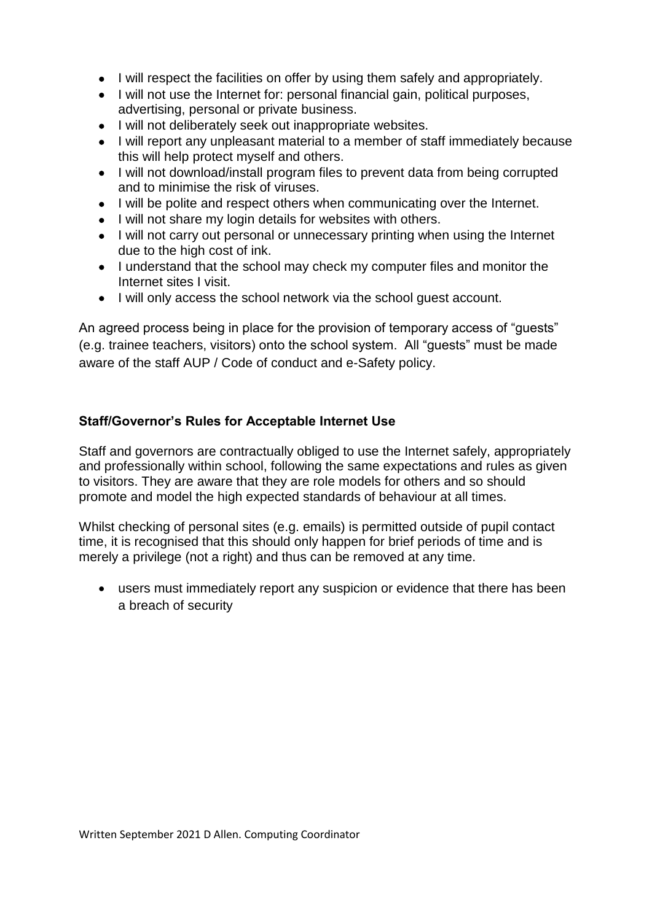- I will respect the facilities on offer by using them safely and appropriately.
- I will not use the Internet for: personal financial gain, political purposes, advertising, personal or private business.
- I will not deliberately seek out inappropriate websites.
- I will report any unpleasant material to a member of staff immediately because this will help protect myself and others.
- I will not download/install program files to prevent data from being corrupted and to minimise the risk of viruses.
- I will be polite and respect others when communicating over the Internet.
- I will not share my login details for websites with others.
- I will not carry out personal or unnecessary printing when using the Internet due to the high cost of ink.
- I understand that the school may check my computer files and monitor the Internet sites I visit.
- I will only access the school network via the school quest account.

An agreed process being in place for the provision of temporary access of "guests" (e.g. trainee teachers, visitors) onto the school system. All "guests" must be made aware of the staff AUP / Code of conduct and e-Safety policy.

# **Staff/Governor's Rules for Acceptable Internet Use**

Staff and governors are contractually obliged to use the Internet safely, appropriately and professionally within school, following the same expectations and rules as given to visitors. They are aware that they are role models for others and so should promote and model the high expected standards of behaviour at all times.

Whilst checking of personal sites (e.g. emails) is permitted outside of pupil contact time, it is recognised that this should only happen for brief periods of time and is merely a privilege (not a right) and thus can be removed at any time.

 users must immediately report any suspicion or evidence that there has been a breach of security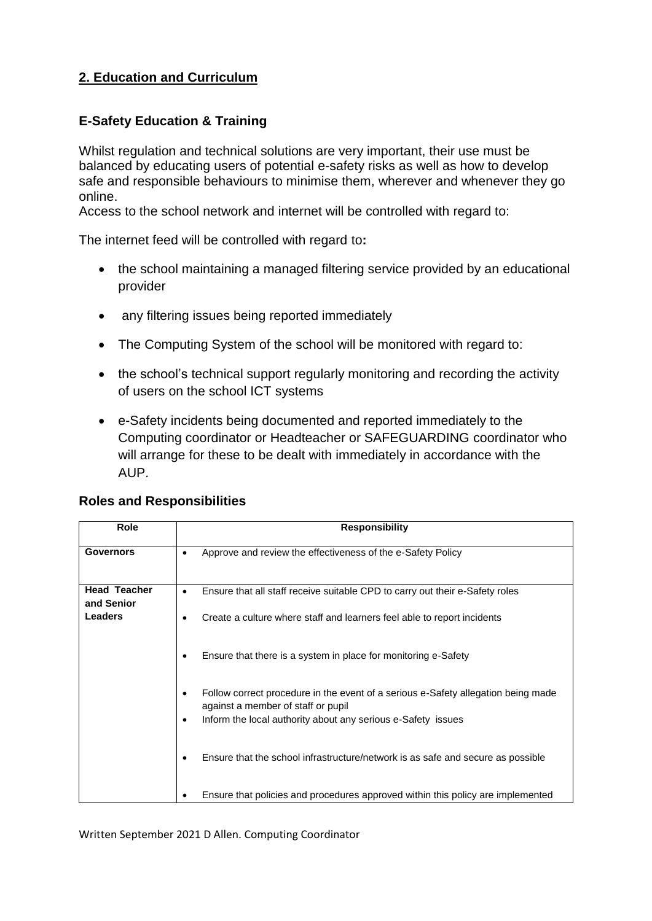# **2. Education and Curriculum**

# **E-Safety Education & Training**

Whilst regulation and technical solutions are very important, their use must be balanced by educating users of potential e-safety risks as well as how to develop safe and responsible behaviours to minimise them, wherever and whenever they go online.

Access to the school network and internet will be controlled with regard to:

The internet feed will be controlled with regard to**:**

- the school maintaining a managed filtering service provided by an educational provider
- any filtering issues being reported immediately
- The Computing System of the school will be monitored with regard to:
- the school's technical support regularly monitoring and recording the activity of users on the school ICT systems
- e-Safety incidents being documented and reported immediately to the Computing coordinator or Headteacher or SAFEGUARDING coordinator who will arrange for these to be dealt with immediately in accordance with the AUP.

| Role                              | <b>Responsibility</b>                                                                                                                |
|-----------------------------------|--------------------------------------------------------------------------------------------------------------------------------------|
| <b>Governors</b>                  | Approve and review the effectiveness of the e-Safety Policy<br>٠                                                                     |
| <b>Head Teacher</b><br>and Senior | Ensure that all staff receive suitable CPD to carry out their e-Safety roles<br>$\bullet$                                            |
| <b>Leaders</b>                    | Create a culture where staff and learners feel able to report incidents                                                              |
|                                   | Ensure that there is a system in place for monitoring e-Safety                                                                       |
|                                   | Follow correct procedure in the event of a serious e-Safety allegation being made<br>$\bullet$<br>against a member of staff or pupil |
|                                   | Inform the local authority about any serious e-Safety issues<br>٠                                                                    |
|                                   | Ensure that the school infrastructure/network is as safe and secure as possible                                                      |
|                                   | Ensure that policies and procedures approved within this policy are implemented                                                      |

### **Roles and Responsibilities**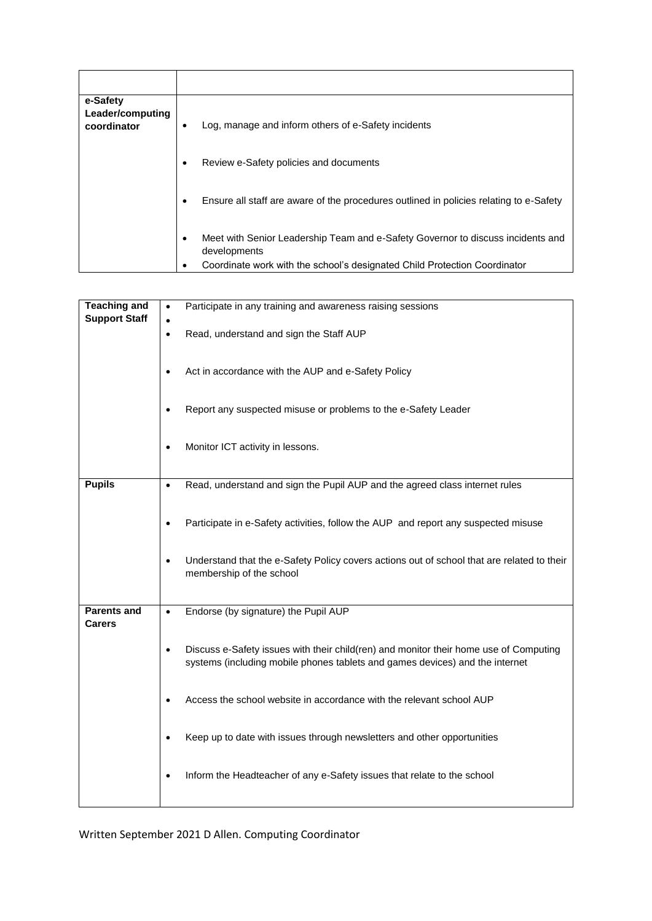| e-Safety<br>Leader/computing<br>coordinator | Log, manage and inform others of e-Safety incidents                                                                                                                          |
|---------------------------------------------|------------------------------------------------------------------------------------------------------------------------------------------------------------------------------|
|                                             | Review e-Safety policies and documents                                                                                                                                       |
|                                             | Ensure all staff are aware of the procedures outlined in policies relating to e-Safety                                                                                       |
|                                             | Meet with Senior Leadership Team and e-Safety Governor to discuss incidents and<br>developments<br>Coordinate work with the school's designated Child Protection Coordinator |

| <b>Teaching and</b>                 | Participate in any training and awareness raising sessions<br>$\bullet$                                                                                                            |
|-------------------------------------|------------------------------------------------------------------------------------------------------------------------------------------------------------------------------------|
| <b>Support Staff</b>                | Read, understand and sign the Staff AUP<br>$\bullet$                                                                                                                               |
|                                     | Act in accordance with the AUP and e-Safety Policy<br>$\bullet$                                                                                                                    |
|                                     | Report any suspected misuse or problems to the e-Safety Leader                                                                                                                     |
|                                     | Monitor ICT activity in lessons.<br>$\bullet$                                                                                                                                      |
| <b>Pupils</b>                       | Read, understand and sign the Pupil AUP and the agreed class internet rules<br>$\bullet$                                                                                           |
|                                     | Participate in e-Safety activities, follow the AUP and report any suspected misuse<br>$\bullet$                                                                                    |
|                                     | Understand that the e-Safety Policy covers actions out of school that are related to their<br>$\bullet$<br>membership of the school                                                |
| <b>Parents and</b><br><b>Carers</b> | Endorse (by signature) the Pupil AUP<br>$\bullet$                                                                                                                                  |
|                                     | Discuss e-Safety issues with their child(ren) and monitor their home use of Computing<br>$\bullet$<br>systems (including mobile phones tablets and games devices) and the internet |
|                                     | Access the school website in accordance with the relevant school AUP<br>$\bullet$                                                                                                  |
|                                     | Keep up to date with issues through newsletters and other opportunities<br>$\bullet$                                                                                               |
|                                     | Inform the Headteacher of any e-Safety issues that relate to the school<br>$\bullet$                                                                                               |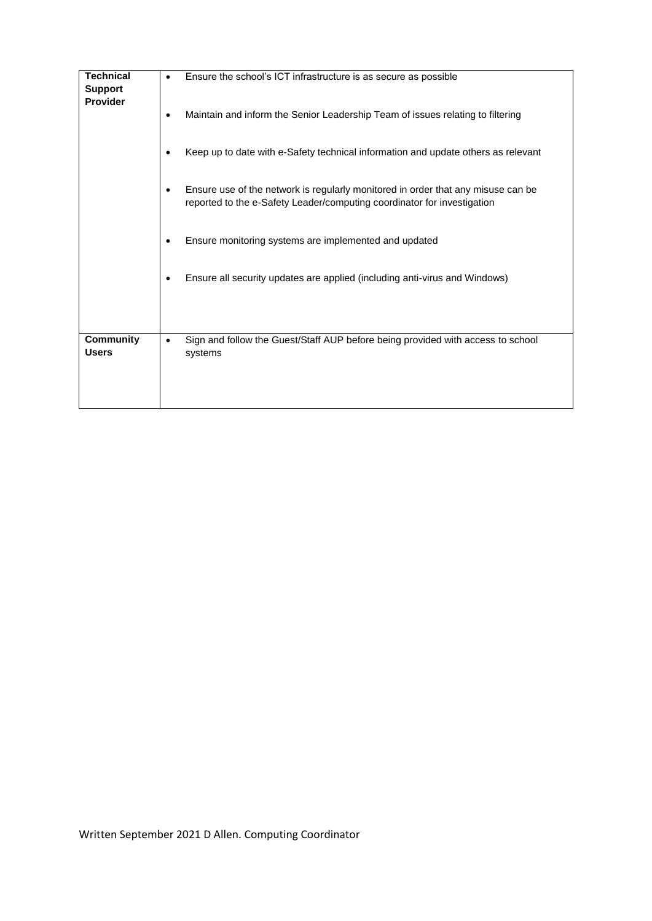| <b>Technical</b><br><b>Support</b> | Ensure the school's ICT infrastructure is as secure as possible                                                                                                          |
|------------------------------------|--------------------------------------------------------------------------------------------------------------------------------------------------------------------------|
| <b>Provider</b>                    | Maintain and inform the Senior Leadership Team of issues relating to filtering<br>٠                                                                                      |
|                                    | Keep up to date with e-Safety technical information and update others as relevant<br>٠                                                                                   |
|                                    | Ensure use of the network is regularly monitored in order that any misuse can be<br>$\bullet$<br>reported to the e-Safety Leader/computing coordinator for investigation |
|                                    | Ensure monitoring systems are implemented and updated<br>٠                                                                                                               |
|                                    | Ensure all security updates are applied (including anti-virus and Windows)<br>٠                                                                                          |
| <b>Community</b><br><b>Users</b>   | Sign and follow the Guest/Staff AUP before being provided with access to school<br>systems                                                                               |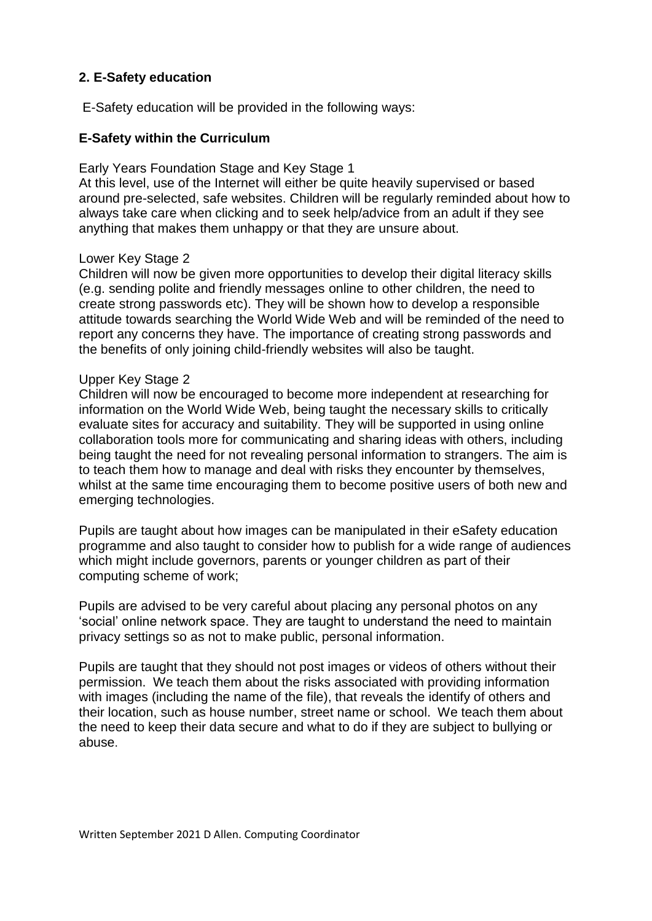### **2. E-Safety education**

E-Safety education will be provided in the following ways:

### **E-Safety within the Curriculum**

Early Years Foundation Stage and Key Stage 1

At this level, use of the Internet will either be quite heavily supervised or based around pre-selected, safe websites. Children will be regularly reminded about how to always take care when clicking and to seek help/advice from an adult if they see anything that makes them unhappy or that they are unsure about.

#### Lower Key Stage 2

Children will now be given more opportunities to develop their digital literacy skills (e.g. sending polite and friendly messages online to other children, the need to create strong passwords etc). They will be shown how to develop a responsible attitude towards searching the World Wide Web and will be reminded of the need to report any concerns they have. The importance of creating strong passwords and the benefits of only joining child-friendly websites will also be taught.

#### Upper Key Stage 2

Children will now be encouraged to become more independent at researching for information on the World Wide Web, being taught the necessary skills to critically evaluate sites for accuracy and suitability. They will be supported in using online collaboration tools more for communicating and sharing ideas with others, including being taught the need for not revealing personal information to strangers. The aim is to teach them how to manage and deal with risks they encounter by themselves, whilst at the same time encouraging them to become positive users of both new and emerging technologies.

Pupils are taught about how images can be manipulated in their eSafety education programme and also taught to consider how to publish for a wide range of audiences which might include governors, parents or younger children as part of their computing scheme of work;

Pupils are advised to be very careful about placing any personal photos on any 'social' online network space. They are taught to understand the need to maintain privacy settings so as not to make public, personal information.

Pupils are taught that they should not post images or videos of others without their permission. We teach them about the risks associated with providing information with images (including the name of the file), that reveals the identify of others and their location, such as house number, street name or school. We teach them about the need to keep their data secure and what to do if they are subject to bullying or abuse.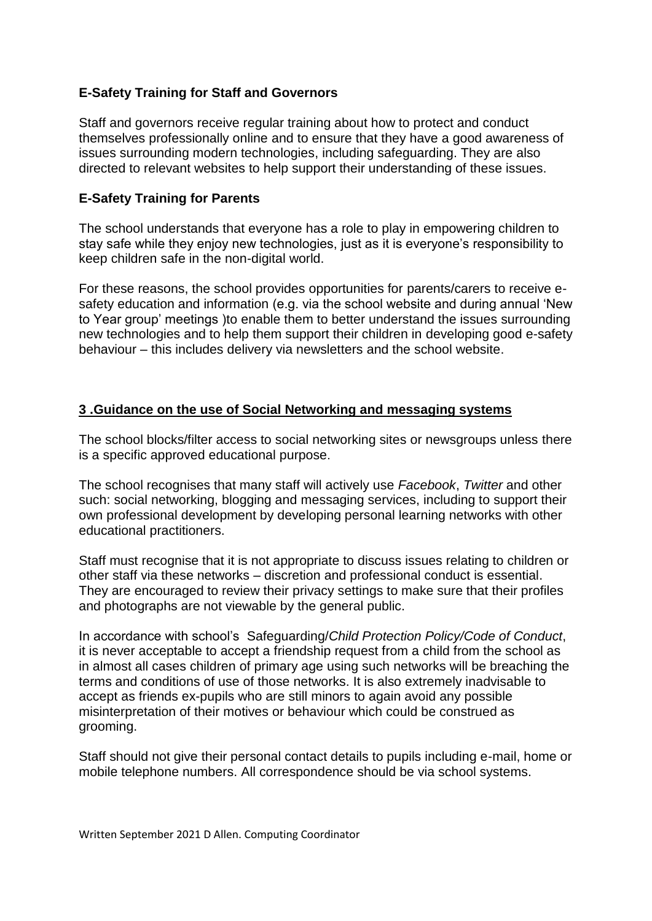## **E-Safety Training for Staff and Governors**

Staff and governors receive regular training about how to protect and conduct themselves professionally online and to ensure that they have a good awareness of issues surrounding modern technologies, including safeguarding. They are also directed to relevant websites to help support their understanding of these issues.

### **E-Safety Training for Parents**

The school understands that everyone has a role to play in empowering children to stay safe while they enjoy new technologies, just as it is everyone's responsibility to keep children safe in the non-digital world.

For these reasons, the school provides opportunities for parents/carers to receive esafety education and information (e.g. via the school website and during annual 'New to Year group' meetings )to enable them to better understand the issues surrounding new technologies and to help them support their children in developing good e-safety behaviour – this includes delivery via newsletters and the school website.

### **3 .Guidance on the use of Social Networking and messaging systems**

The school blocks/filter access to social networking sites or newsgroups unless there is a specific approved educational purpose.

The school recognises that many staff will actively use *Facebook*, *Twitter* and other such: social networking, blogging and messaging services, including to support their own professional development by developing personal learning networks with other educational practitioners.

Staff must recognise that it is not appropriate to discuss issues relating to children or other staff via these networks – discretion and professional conduct is essential. They are encouraged to review their privacy settings to make sure that their profiles and photographs are not viewable by the general public.

In accordance with school's Safeguarding/*Child Protection Policy/Code of Conduct*, it is never acceptable to accept a friendship request from a child from the school as in almost all cases children of primary age using such networks will be breaching the terms and conditions of use of those networks. It is also extremely inadvisable to accept as friends ex-pupils who are still minors to again avoid any possible misinterpretation of their motives or behaviour which could be construed as grooming.

Staff should not give their personal contact details to pupils including e-mail, home or mobile telephone numbers. All correspondence should be via school systems.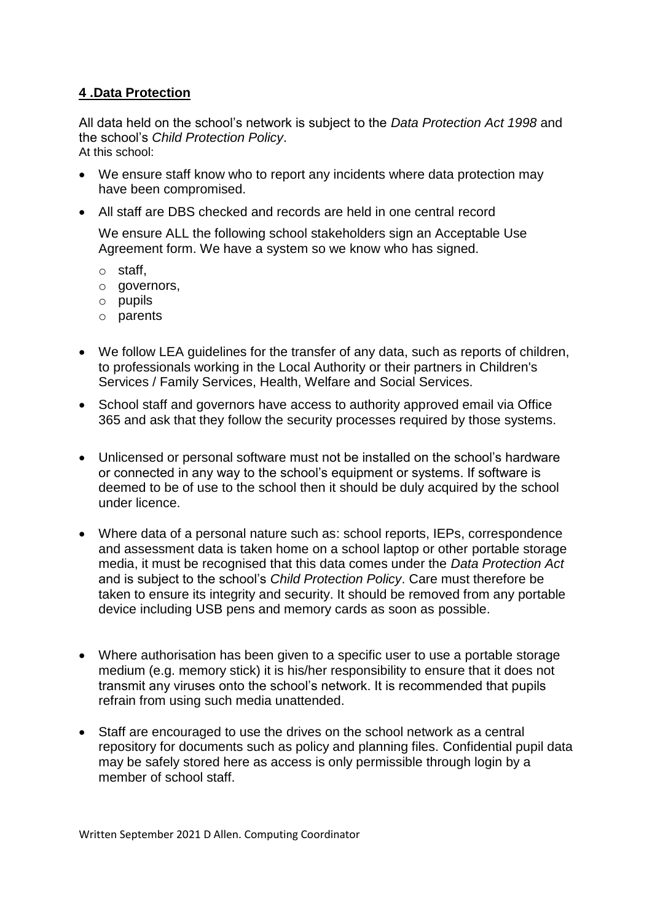# **4 .Data Protection**

All data held on the school's network is subject to the *Data Protection Act 1998* and the school's *Child Protection Policy*. At this school:

- We ensure staff know who to report any incidents where data protection may have been compromised.
- All staff are DBS checked and records are held in one central record

We ensure ALL the following school stakeholders sign an Acceptable Use Agreement form. We have a system so we know who has signed.

- o staff,
- o governors,
- o pupils
- o parents
- We follow LEA guidelines for the transfer of any data, such as reports of children, to professionals working in the Local Authority or their partners in Children's Services / Family Services, Health, Welfare and Social Services.
- School staff and governors have access to authority approved email via Office 365 and ask that they follow the security processes required by those systems.
- Unlicensed or personal software must not be installed on the school's hardware or connected in any way to the school's equipment or systems. If software is deemed to be of use to the school then it should be duly acquired by the school under licence.
- Where data of a personal nature such as: school reports, IEPs, correspondence and assessment data is taken home on a school laptop or other portable storage media, it must be recognised that this data comes under the *Data Protection Act* and is subject to the school's *Child Protection Policy*. Care must therefore be taken to ensure its integrity and security. It should be removed from any portable device including USB pens and memory cards as soon as possible.
- Where authorisation has been given to a specific user to use a portable storage medium (e.g. memory stick) it is his/her responsibility to ensure that it does not transmit any viruses onto the school's network. It is recommended that pupils refrain from using such media unattended.
- Staff are encouraged to use the drives on the school network as a central repository for documents such as policy and planning files. Confidential pupil data may be safely stored here as access is only permissible through login by a member of school staff.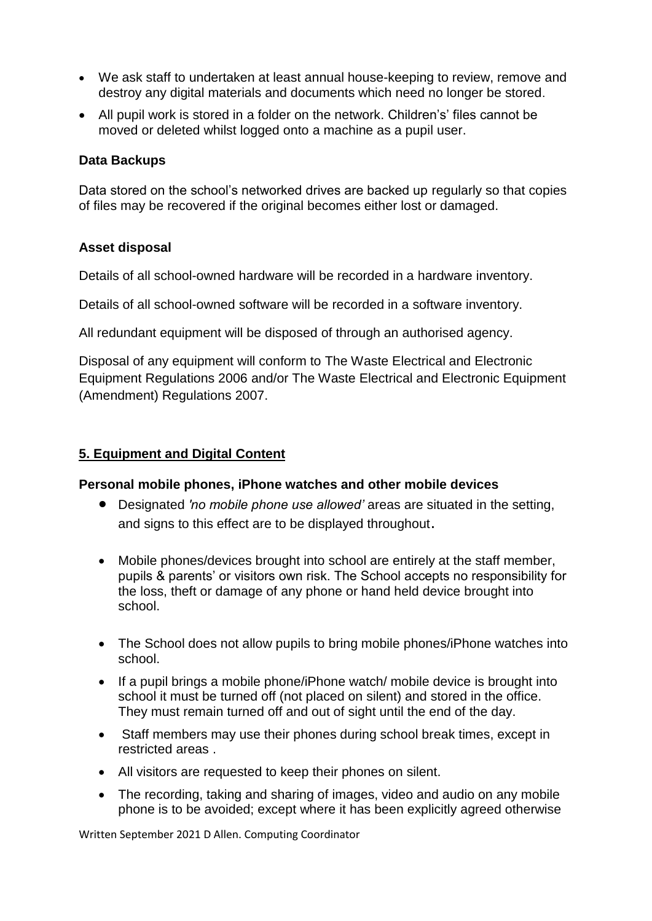- We ask staff to undertaken at least annual house-keeping to review, remove and destroy any digital materials and documents which need no longer be stored.
- All pupil work is stored in a folder on the network. Children's' files cannot be moved or deleted whilst logged onto a machine as a pupil user.

### **Data Backups**

Data stored on the school's networked drives are backed up regularly so that copies of files may be recovered if the original becomes either lost or damaged.

### **Asset disposal**

Details of all school-owned hardware will be recorded in a hardware inventory.

Details of all school-owned software will be recorded in a software inventory.

All redundant equipment will be disposed of through an authorised agency.

Disposal of any equipment will conform to [The Waste Electrical and Electronic](http://www.legislation.gov.uk/uksi/2006/3289/pdfs/uksi_20063289_en.pdf)  [Equipment Regulations 2006](http://www.legislation.gov.uk/uksi/2006/3289/pdfs/uksi_20063289_en.pdf) and/or [The Waste Electrical and Electronic Equipment](http://www.legislation.gov.uk/uksi/2007/3454/pdfs/uksi_20073454_en.pdf)  [\(Amendment\) Regulations 2007.](http://www.legislation.gov.uk/uksi/2007/3454/pdfs/uksi_20073454_en.pdf)

### **5. Equipment and Digital Content**

### **Personal mobile phones, iPhone watches and other mobile devices**

- Designated *'no mobile phone use allowed'* areas are situated in the setting, and signs to this effect are to be displayed throughout.
- Mobile phones/devices brought into school are entirely at the staff member, pupils & parents' or visitors own risk. The School accepts no responsibility for the loss, theft or damage of any phone or hand held device brought into school.
- The School does not allow pupils to bring mobile phones/iPhone watches into school.
- If a pupil brings a mobile phone/iPhone watch/ mobile device is brought into school it must be turned off (not placed on silent) and stored in the office. They must remain turned off and out of sight until the end of the day.
- Staff members may use their phones during school break times, except in restricted areas .
- All visitors are requested to keep their phones on silent.
- The recording, taking and sharing of images, video and audio on any mobile phone is to be avoided; except where it has been explicitly agreed otherwise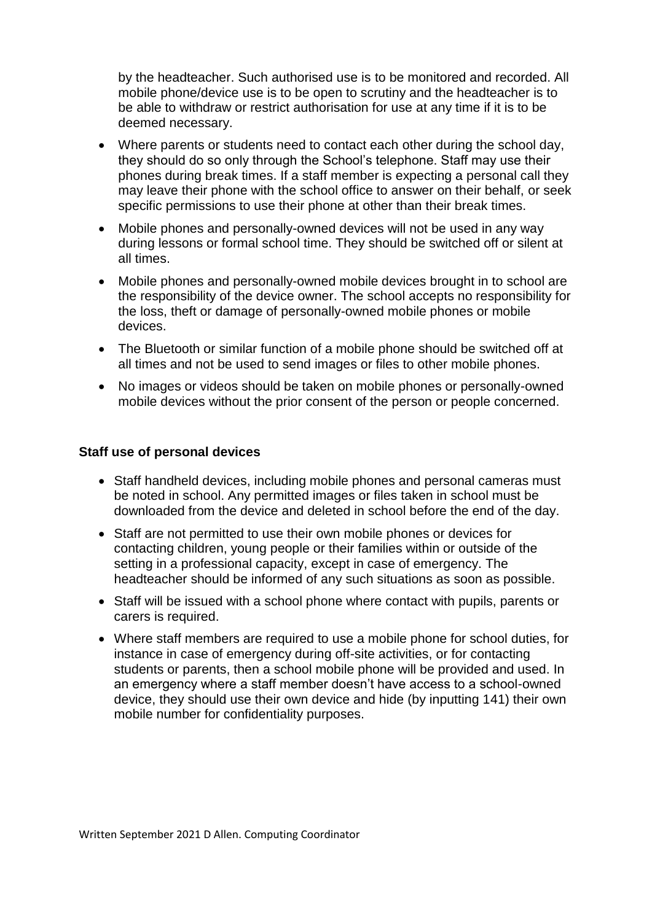by the headteacher. Such authorised use is to be monitored and recorded. All mobile phone/device use is to be open to scrutiny and the headteacher is to be able to withdraw or restrict authorisation for use at any time if it is to be deemed necessary.

- Where parents or students need to contact each other during the school day, they should do so only through the School's telephone. Staff may use their phones during break times. If a staff member is expecting a personal call they may leave their phone with the school office to answer on their behalf, or seek specific permissions to use their phone at other than their break times.
- Mobile phones and personally-owned devices will not be used in any way during lessons or formal school time. They should be switched off or silent at all times.
- Mobile phones and personally-owned mobile devices brought in to school are the responsibility of the device owner. The school accepts no responsibility for the loss, theft or damage of personally-owned mobile phones or mobile devices.
- The Bluetooth or similar function of a mobile phone should be switched off at all times and not be used to send images or files to other mobile phones.
- No images or videos should be taken on mobile phones or personally-owned mobile devices without the prior consent of the person or people concerned.

#### **Staff use of personal devices**

- Staff handheld devices, including mobile phones and personal cameras must be noted in school. Any permitted images or files taken in school must be downloaded from the device and deleted in school before the end of the day.
- Staff are not permitted to use their own mobile phones or devices for contacting children, young people or their families within or outside of the setting in a professional capacity, except in case of emergency. The headteacher should be informed of any such situations as soon as possible.
- Staff will be issued with a school phone where contact with pupils, parents or carers is required.
- Where staff members are required to use a mobile phone for school duties, for instance in case of emergency during off-site activities, or for contacting students or parents, then a school mobile phone will be provided and used. In an emergency where a staff member doesn't have access to a school-owned device, they should use their own device and hide (by inputting 141) their own mobile number for confidentiality purposes.